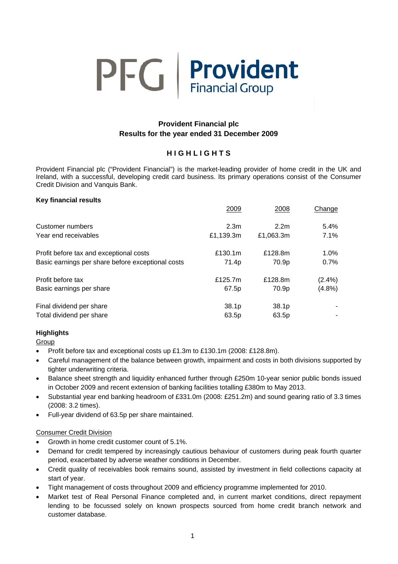

# **Provident Financial plc Results for the year ended 31 December 2009**

# **H I G H L I G H T S**

Provident Financial plc ("Provident Financial") is the market-leading provider of home credit in the UK and Ireland, with a successful, developing credit card business. Its primary operations consist of the Consumer Credit Division and Vanquis Bank.

| <b>Key financial results</b>                      |                  |                  |           |
|---------------------------------------------------|------------------|------------------|-----------|
|                                                   | 2009             | 2008             | Change    |
| Customer numbers                                  | 2.3 <sub>m</sub> | 2.2 <sub>m</sub> | $5.4\%$   |
| Year end receivables                              | £1,139.3m        | £1,063.3m        | 7.1%      |
| Profit before tax and exceptional costs           | £130.1m          | £128.8m          | 1.0%      |
| Basic earnings per share before exceptional costs | 71.4p            | 70.9p            | 0.7%      |
| Profit before tax                                 | £125.7m          | £128.8m          | $(2.4\%)$ |
| Basic earnings per share                          | 67.5p            | 70.9p            | $(4.8\%)$ |
| Final dividend per share                          | 38.1p            | 38.1p            |           |
| Total dividend per share                          | 63.5p            | 63.5p            |           |

# **Highlights**

Group

- Profit before tax and exceptional costs up £1.3m to £130.1m (2008: £128.8m).
- Careful management of the balance between growth, impairment and costs in both divisions supported by tighter underwriting criteria.
- Balance sheet strength and liquidity enhanced further through £250m 10-year senior public bonds issued in October 2009 and recent extension of banking facilities totalling £380m to May 2013.
- Substantial year end banking headroom of £331.0m (2008: £251.2m) and sound gearing ratio of 3.3 times (2008: 3.2 times).
- Full-year dividend of 63.5p per share maintained.

# Consumer Credit Division

- Growth in home credit customer count of 5.1%.
- Demand for credit tempered by increasingly cautious behaviour of customers during peak fourth quarter period, exacerbated by adverse weather conditions in December.
- Credit quality of receivables book remains sound, assisted by investment in field collections capacity at start of year.
- Tight management of costs throughout 2009 and efficiency programme implemented for 2010.
- Market test of Real Personal Finance completed and, in current market conditions, direct repayment lending to be focussed solely on known prospects sourced from home credit branch network and customer database.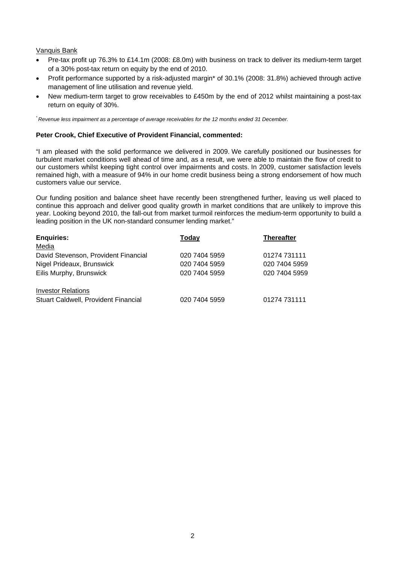### Vanquis Bank

- Pre-tax profit up 76.3% to £14.1m (2008: £8.0m) with business on track to deliver its medium-term target of a 30% post-tax return on equity by the end of 2010.
- Profit performance supported by a risk-adjusted margin\* of 30.1% (2008: 31.8%) achieved through active management of line utilisation and revenue yield.
- New medium-term target to grow receivables to £450m by the end of 2012 whilst maintaining a post-tax return on equity of 30%.

*\* Revenue less impairment as a percentage of average receivables for the 12 months ended 31 December.* 

### **Peter Crook, Chief Executive of Provident Financial, commented:**

"I am pleased with the solid performance we delivered in 2009. We carefully positioned our businesses for turbulent market conditions well ahead of time and, as a result, we were able to maintain the flow of credit to our customers whilst keeping tight control over impairments and costs. In 2009, customer satisfaction levels remained high, with a measure of 94% in our home credit business being a strong endorsement of how much customers value our service.

Our funding position and balance sheet have recently been strengthened further, leaving us well placed to continue this approach and deliver good quality growth in market conditions that are unlikely to improve this year. Looking beyond 2010, the fall-out from market turmoil reinforces the medium-term opportunity to build a leading position in the UK non-standard consumer lending market."

| <b>Enquiries:</b>                           | Today         | <b>Thereafter</b> |
|---------------------------------------------|---------------|-------------------|
| Media                                       |               |                   |
| David Stevenson, Provident Financial        | 020 7404 5959 | 01274 731111      |
| Nigel Prideaux, Brunswick                   | 020 7404 5959 | 020 7404 5959     |
| Eilis Murphy, Brunswick                     | 020 7404 5959 | 020 7404 5959     |
|                                             |               |                   |
| <b>Investor Relations</b>                   |               |                   |
| <b>Stuart Caldwell, Provident Financial</b> | 020 7404 5959 | 01274 731111      |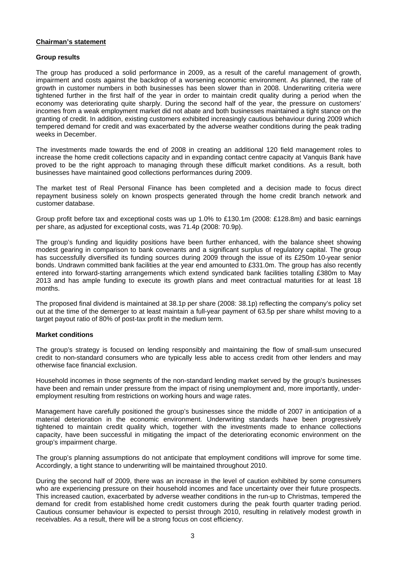#### **Chairman's statement**

#### **Group results**

The group has produced a solid performance in 2009, as a result of the careful management of growth, impairment and costs against the backdrop of a worsening economic environment. As planned, the rate of growth in customer numbers in both businesses has been slower than in 2008. Underwriting criteria were tightened further in the first half of the year in order to maintain credit quality during a period when the economy was deteriorating quite sharply. During the second half of the year, the pressure on customers' incomes from a weak employment market did not abate and both businesses maintained a tight stance on the granting of credit. In addition, existing customers exhibited increasingly cautious behaviour during 2009 which tempered demand for credit and was exacerbated by the adverse weather conditions during the peak trading weeks in December.

The investments made towards the end of 2008 in creating an additional 120 field management roles to increase the home credit collections capacity and in expanding contact centre capacity at Vanquis Bank have proved to be the right approach to managing through these difficult market conditions. As a result, both businesses have maintained good collections performances during 2009.

The market test of Real Personal Finance has been completed and a decision made to focus direct repayment business solely on known prospects generated through the home credit branch network and customer database.

Group profit before tax and exceptional costs was up 1.0% to £130.1m (2008: £128.8m) and basic earnings per share, as adjusted for exceptional costs, was 71.4p (2008: 70.9p).

The group's funding and liquidity positions have been further enhanced, with the balance sheet showing modest gearing in comparison to bank covenants and a significant surplus of regulatory capital. The group has successfully diversified its funding sources during 2009 through the issue of its £250m 10-year senior bonds. Undrawn committed bank facilities at the year end amounted to £331.0m. The group has also recently entered into forward-starting arrangements which extend syndicated bank facilities totalling £380m to May 2013 and has ample funding to execute its growth plans and meet contractual maturities for at least 18 months.

The proposed final dividend is maintained at 38.1p per share (2008: 38.1p) reflecting the company's policy set out at the time of the demerger to at least maintain a full-year payment of 63.5p per share whilst moving to a target payout ratio of 80% of post-tax profit in the medium term.

# **Market conditions**

The group's strategy is focused on lending responsibly and maintaining the flow of small-sum unsecured credit to non-standard consumers who are typically less able to access credit from other lenders and may otherwise face financial exclusion.

Household incomes in those segments of the non-standard lending market served by the group's businesses have been and remain under pressure from the impact of rising unemployment and, more importantly, underemployment resulting from restrictions on working hours and wage rates.

Management have carefully positioned the group's businesses since the middle of 2007 in anticipation of a material deterioration in the economic environment. Underwriting standards have been progressively tightened to maintain credit quality which, together with the investments made to enhance collections capacity, have been successful in mitigating the impact of the deteriorating economic environment on the group's impairment charge.

The group's planning assumptions do not anticipate that employment conditions will improve for some time. Accordingly, a tight stance to underwriting will be maintained throughout 2010.

During the second half of 2009, there was an increase in the level of caution exhibited by some consumers who are experiencing pressure on their household incomes and face uncertainty over their future prospects. This increased caution, exacerbated by adverse weather conditions in the run-up to Christmas, tempered the demand for credit from established home credit customers during the peak fourth quarter trading period. Cautious consumer behaviour is expected to persist through 2010, resulting in relatively modest growth in receivables. As a result, there will be a strong focus on cost efficiency.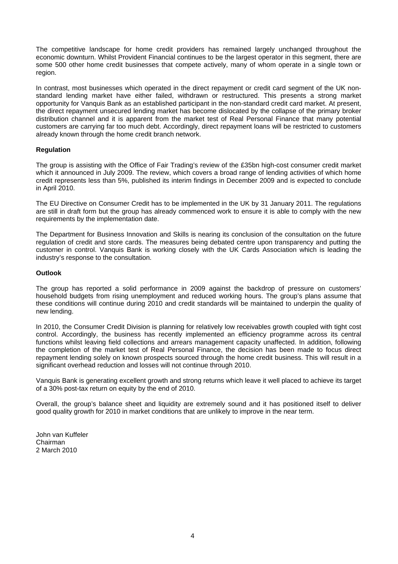The competitive landscape for home credit providers has remained largely unchanged throughout the economic downturn. Whilst Provident Financial continues to be the largest operator in this segment, there are some 500 other home credit businesses that compete actively, many of whom operate in a single town or region.

In contrast, most businesses which operated in the direct repayment or credit card segment of the UK nonstandard lending market have either failed, withdrawn or restructured. This presents a strong market opportunity for Vanquis Bank as an established participant in the non-standard credit card market. At present, the direct repayment unsecured lending market has become dislocated by the collapse of the primary broker distribution channel and it is apparent from the market test of Real Personal Finance that many potential customers are carrying far too much debt. Accordingly, direct repayment loans will be restricted to customers already known through the home credit branch network.

# **Regulation**

The group is assisting with the Office of Fair Trading's review of the £35bn high-cost consumer credit market which it announced in July 2009. The review, which covers a broad range of lending activities of which home credit represents less than 5%, published its interim findings in December 2009 and is expected to conclude in April 2010.

The EU Directive on Consumer Credit has to be implemented in the UK by 31 January 2011. The regulations are still in draft form but the group has already commenced work to ensure it is able to comply with the new requirements by the implementation date.

The Department for Business Innovation and Skills is nearing its conclusion of the consultation on the future regulation of credit and store cards. The measures being debated centre upon transparency and putting the customer in control. Vanquis Bank is working closely with the UK Cards Association which is leading the industry's response to the consultation.

#### **Outlook**

The group has reported a solid performance in 2009 against the backdrop of pressure on customers' household budgets from rising unemployment and reduced working hours. The group's plans assume that these conditions will continue during 2010 and credit standards will be maintained to underpin the quality of new lending.

In 2010, the Consumer Credit Division is planning for relatively low receivables growth coupled with tight cost control. Accordingly, the business has recently implemented an efficiency programme across its central functions whilst leaving field collections and arrears management capacity unaffected. In addition, following the completion of the market test of Real Personal Finance, the decision has been made to focus direct repayment lending solely on known prospects sourced through the home credit business. This will result in a significant overhead reduction and losses will not continue through 2010.

Vanquis Bank is generating excellent growth and strong returns which leave it well placed to achieve its target of a 30% post-tax return on equity by the end of 2010.

Overall, the group's balance sheet and liquidity are extremely sound and it has positioned itself to deliver good quality growth for 2010 in market conditions that are unlikely to improve in the near term.

John van Kuffeler Chairman 2 March 2010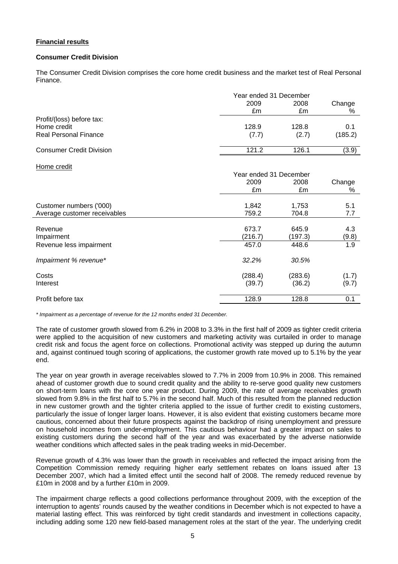# **Financial results**

# **Consumer Credit Division**

The Consumer Credit Division comprises the core home credit business and the market test of Real Personal Finance.

|                                 |       | Year ended 31 December |         |  |
|---------------------------------|-------|------------------------|---------|--|
|                                 | 2009  | 2008                   | Change  |  |
|                                 | £m    | £m                     | %       |  |
| Profit/(loss) before tax:       |       |                        |         |  |
| Home credit                     | 128.9 | 128.8                  | 0.1     |  |
| <b>Real Personal Finance</b>    | (7.7) | (2.7)                  | (185.2) |  |
| <b>Consumer Credit Division</b> | 121.2 | 126.1                  | (3.9)   |  |

#### Home credit

|                              | Year ended 31 December |         |        |
|------------------------------|------------------------|---------|--------|
|                              | 2009                   | 2008    | Change |
|                              | £m                     | £m      | %      |
| Customer numbers ('000)      | 1,842                  | 1,753   | 5.1    |
| Average customer receivables | 759.2                  | 704.8   | 7.7    |
|                              |                        |         |        |
| Revenue                      | 673.7                  | 645.9   | 4.3    |
| Impairment                   | (216.7)                | (197.3) | (9.8)  |
| Revenue less impairment      | 457.0                  | 448.6   | 1.9    |
| Impairment % revenue*        | 32.2%                  | 30.5%   |        |
| Costs                        | (288.4)                | (283.6) | (1.7)  |
| Interest                     | (39.7)                 | (36.2)  | (9.7)  |
| Profit before tax            | 128.9                  | 128.8   | 0.1    |

*\* Impairment as a percentage of revenue for the 12 months ended 31 December.* 

The rate of customer growth slowed from 6.2% in 2008 to 3.3% in the first half of 2009 as tighter credit criteria were applied to the acquisition of new customers and marketing activity was curtailed in order to manage credit risk and focus the agent force on collections. Promotional activity was stepped up during the autumn and, against continued tough scoring of applications, the customer growth rate moved up to 5.1% by the year end.

The year on year growth in average receivables slowed to 7.7% in 2009 from 10.9% in 2008. This remained ahead of customer growth due to sound credit quality and the ability to re-serve good quality new customers on short-term loans with the core one year product. During 2009, the rate of average receivables growth slowed from 9.8% in the first half to 5.7% in the second half. Much of this resulted from the planned reduction in new customer growth and the tighter criteria applied to the issue of further credit to existing customers, particularly the issue of longer larger loans. However, it is also evident that existing customers became more cautious, concerned about their future prospects against the backdrop of rising unemployment and pressure on household incomes from under-employment. This cautious behaviour had a greater impact on sales to existing customers during the second half of the year and was exacerbated by the adverse nationwide weather conditions which affected sales in the peak trading weeks in mid-December.

Revenue growth of 4.3% was lower than the growth in receivables and reflected the impact arising from the Competition Commission remedy requiring higher early settlement rebates on loans issued after 13 December 2007, which had a limited effect until the second half of 2008. The remedy reduced revenue by £10m in 2008 and by a further £10m in 2009.

The impairment charge reflects a good collections performance throughout 2009, with the exception of the interruption to agents' rounds caused by the weather conditions in December which is not expected to have a material lasting effect. This was reinforced by tight credit standards and investment in collections capacity, including adding some 120 new field-based management roles at the start of the year. The underlying credit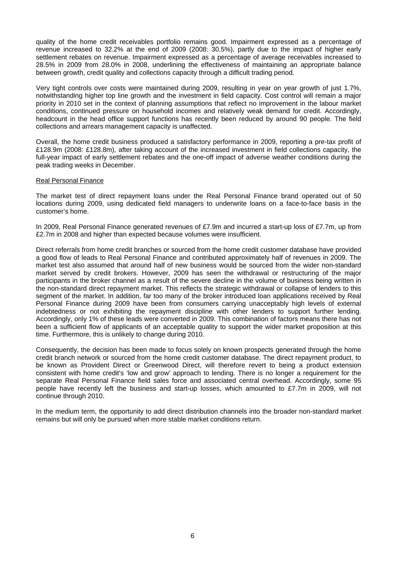quality of the home credit receivables portfolio remains good. Impairment expressed as a percentage of revenue increased to 32.2% at the end of 2009 (2008: 30.5%), partly due to the impact of higher early settlement rebates on revenue. Impairment expressed as a percentage of average receivables increased to 28.5% in 2009 from 28.0% in 2008, underlining the effectiveness of maintaining an appropriate balance between growth, credit quality and collections capacity through a difficult trading period.

Very tight controls over costs were maintained during 2009, resulting in year on year growth of just 1.7%, notwithstanding higher top line growth and the investment in field capacity. Cost control will remain a major priority in 2010 set in the context of planning assumptions that reflect no improvement in the labour market conditions, continued pressure on household incomes and relatively weak demand for credit. Accordingly, headcount in the head office support functions has recently been reduced by around 90 people. The field collections and arrears management capacity is unaffected.

Overall, the home credit business produced a satisfactory performance in 2009, reporting a pre-tax profit of £128.9m (2008: £128.8m), after taking account of the increased investment in field collections capacity, the full-year impact of early settlement rebates and the one-off impact of adverse weather conditions during the peak trading weeks in December.

#### Real Personal Finance

The market test of direct repayment loans under the Real Personal Finance brand operated out of 50 locations during 2009, using dedicated field managers to underwrite loans on a face-to-face basis in the customer's home.

In 2009, Real Personal Finance generated revenues of £7.9m and incurred a start-up loss of £7.7m, up from £2.7m in 2008 and higher than expected because volumes were insufficient.

Direct referrals from home credit branches or sourced from the home credit customer database have provided a good flow of leads to Real Personal Finance and contributed approximately half of revenues in 2009. The market test also assumed that around half of new business would be sourced from the wider non-standard market served by credit brokers. However, 2009 has seen the withdrawal or restructuring of the major participants in the broker channel as a result of the severe decline in the volume of business being written in the non-standard direct repayment market. This reflects the strategic withdrawal or collapse of lenders to this segment of the market. In addition, far too many of the broker introduced loan applications received by Real Personal Finance during 2009 have been from consumers carrying unacceptably high levels of external indebtedness or not exhibiting the repayment discipline with other lenders to support further lending. Accordingly, only 1% of these leads were converted in 2009. This combination of factors means there has not been a sufficient flow of applicants of an acceptable quality to support the wider market proposition at this time. Furthermore, this is unlikely to change during 2010.

Consequently, the decision has been made to focus solely on known prospects generated through the home credit branch network or sourced from the home credit customer database. The direct repayment product, to be known as Provident Direct or Greenwood Direct, will therefore revert to being a product extension consistent with home credit's 'low and grow' approach to lending. There is no longer a requirement for the separate Real Personal Finance field sales force and associated central overhead. Accordingly, some 95 people have recently left the business and start-up losses, which amounted to £7.7m in 2009, will not continue through 2010.

In the medium term, the opportunity to add direct distribution channels into the broader non-standard market remains but will only be pursued when more stable market conditions return.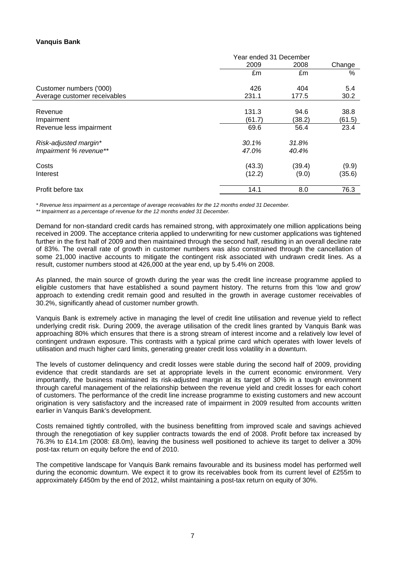# **Vanquis Bank**

|                                                 | Year ended 31 December |                 |                 |
|-------------------------------------------------|------------------------|-----------------|-----------------|
|                                                 | 2009                   | 2008            | Change          |
|                                                 | £m                     | £m              | %               |
| Customer numbers ('000)                         | 426                    | 404             | 5.4             |
| Average customer receivables                    | 231.1                  | 177.5           | 30.2            |
| Revenue<br>Impairment                           | 131.3<br>(61.7)        | 94.6<br>(38.2)  | 38.8<br>(61.5)  |
| Revenue less impairment                         | 69.6                   | 56.4            | 23.4            |
| Risk-adjusted margin*<br>Impairment % revenue** | 30.1%<br>47.0%         | 31.8%<br>40.4%  |                 |
| Costs<br>Interest                               | (43.3)<br>(12.2)       | (39.4)<br>(9.0) | (9.9)<br>(35.6) |
| Profit before tax                               | 14.1                   | 8.0             | 76.3            |

*\* Revenue less impairment as a percentage of average receivables for the 12 months ended 31 December.* 

*\*\* Impairment as a percentage of revenue for the 12 months ended 31 December.* 

Demand for non-standard credit cards has remained strong, with approximately one million applications being received in 2009. The acceptance criteria applied to underwriting for new customer applications was tightened further in the first half of 2009 and then maintained through the second half, resulting in an overall decline rate of 83%. The overall rate of growth in customer numbers was also constrained through the cancellation of some 21,000 inactive accounts to mitigate the contingent risk associated with undrawn credit lines. As a result, customer numbers stood at 426,000 at the year end, up by 5.4% on 2008.

As planned, the main source of growth during the year was the credit line increase programme applied to eligible customers that have established a sound payment history. The returns from this 'low and grow' approach to extending credit remain good and resulted in the growth in average customer receivables of 30.2%, significantly ahead of customer number growth.

Vanquis Bank is extremely active in managing the level of credit line utilisation and revenue yield to reflect underlying credit risk. During 2009, the average utilisation of the credit lines granted by Vanquis Bank was approaching 80% which ensures that there is a strong stream of interest income and a relatively low level of contingent undrawn exposure. This contrasts with a typical prime card which operates with lower levels of utilisation and much higher card limits, generating greater credit loss volatility in a downturn.

The levels of customer delinquency and credit losses were stable during the second half of 2009, providing evidence that credit standards are set at appropriate levels in the current economic environment. Very importantly, the business maintained its risk-adjusted margin at its target of 30% in a tough environment through careful management of the relationship between the revenue yield and credit losses for each cohort of customers. The performance of the credit line increase programme to existing customers and new account origination is very satisfactory and the increased rate of impairment in 2009 resulted from accounts written earlier in Vanquis Bank's development.

Costs remained tightly controlled, with the business benefitting from improved scale and savings achieved through the renegotiation of key supplier contracts towards the end of 2008. Profit before tax increased by 76.3% to £14.1m (2008: £8.0m), leaving the business well positioned to achieve its target to deliver a 30% post-tax return on equity before the end of 2010.

The competitive landscape for Vanquis Bank remains favourable and its business model has performed well during the economic downturn. We expect it to grow its receivables book from its current level of £255m to approximately £450m by the end of 2012, whilst maintaining a post-tax return on equity of 30%.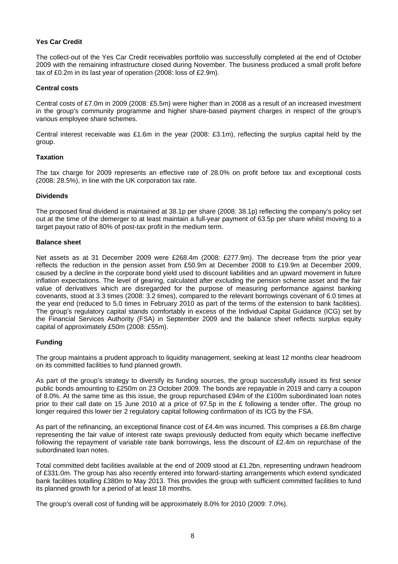# **Yes Car Credit**

The collect-out of the Yes Car Credit receivables portfolio was successfully completed at the end of October 2009 with the remaining infrastructure closed during November. The business produced a small profit before tax of £0.2m in its last year of operation (2008: loss of £2.9m).

### **Central costs**

Central costs of £7.0m in 2009 (2008: £5.5m) were higher than in 2008 as a result of an increased investment in the group's community programme and higher share-based payment charges in respect of the group's various employee share schemes.

Central interest receivable was £1.6m in the year (2008: £3.1m), reflecting the surplus capital held by the group.

#### **Taxation**

The tax charge for 2009 represents an effective rate of 28.0% on profit before tax and exceptional costs (2008: 28.5%), in line with the UK corporation tax rate.

#### **Dividends**

The proposed final dividend is maintained at 38.1p per share (2008: 38.1p) reflecting the company's policy set out at the time of the demerger to at least maintain a full-year payment of 63.5p per share whilst moving to a target payout ratio of 80% of post-tax profit in the medium term.

#### **Balance sheet**

Net assets as at 31 December 2009 were £268.4m (2008: £277.9m). The decrease from the prior year reflects the reduction in the pension asset from £50.9m at December 2008 to £19.9m at December 2009, caused by a decline in the corporate bond yield used to discount liabilities and an upward movement in future inflation expectations. The level of gearing, calculated after excluding the pension scheme asset and the fair value of derivatives which are disregarded for the purpose of measuring performance against banking covenants, stood at 3.3 times (2008: 3.2 times), compared to the relevant borrowings covenant of 6.0 times at the year end (reduced to 5.0 times in February 2010 as part of the terms of the extension to bank facilities). The group's regulatory capital stands comfortably in excess of the Individual Capital Guidance (ICG) set by the Financial Services Authority (FSA) in September 2009 and the balance sheet reflects surplus equity capital of approximately £50m (2008: £55m).

# **Funding**

The group maintains a prudent approach to liquidity management, seeking at least 12 months clear headroom on its committed facilities to fund planned growth.

As part of the group's strategy to diversify its funding sources, the group successfully issued its first senior public bonds amounting to £250m on 23 October 2009. The bonds are repayable in 2019 and carry a coupon of 8.0%. At the same time as this issue, the group repurchased £94m of the £100m subordinated loan notes prior to their call date on 15 June 2010 at a price of 97.5p in the £ following a tender offer. The group no longer required this lower tier 2 regulatory capital following confirmation of its ICG by the FSA.

As part of the refinancing, an exceptional finance cost of £4.4m was incurred. This comprises a £6.8m charge representing the fair value of interest rate swaps previously deducted from equity which became ineffective following the repayment of variable rate bank borrowings, less the discount of £2.4m on repurchase of the subordinated loan notes.

Total committed debt facilities available at the end of 2009 stood at £1.2bn, representing undrawn headroom of £331.0m. The group has also recently entered into forward-starting arrangements which extend syndicated bank facilities totalling £380m to May 2013. This provides the group with sufficient committed facilities to fund its planned growth for a period of at least 18 months.

The group's overall cost of funding will be approximately 8.0% for 2010 (2009: 7.0%).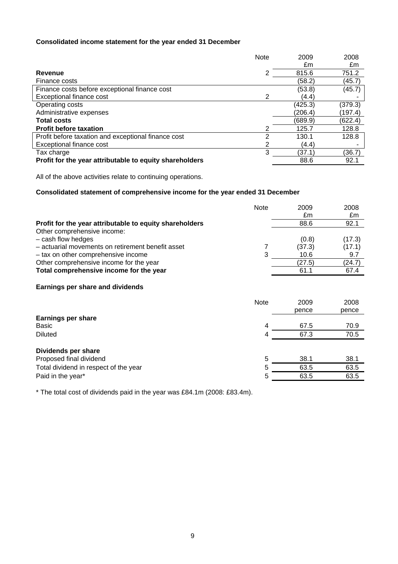# **Consolidated income statement for the year ended 31 December**

|                                                         | <b>Note</b> | 2009    | 2008    |
|---------------------------------------------------------|-------------|---------|---------|
|                                                         |             | £m      | £m      |
| Revenue                                                 | 2           | 815.6   | 751.2   |
| Finance costs                                           |             | (58.2)  | (45.7)  |
| Finance costs before exceptional finance cost           |             | (53.8)  | (45.7)  |
| Exceptional finance cost                                | 2           | (4.4)   |         |
| Operating costs                                         |             | (425.3) | (379.3) |
| Administrative expenses                                 |             | (206.4) | (197.4) |
| <b>Total costs</b>                                      |             | (689.9) | (622.4) |
| <b>Profit before taxation</b>                           |             | 125.7   | 128.8   |
| Profit before taxation and exceptional finance cost     | 2           | 130.1   | 128.8   |
| Exceptional finance cost                                | 2           | (4.4)   |         |
| Tax charge                                              | 3           | (37.1)  | (36.7)  |
| Profit for the year attributable to equity shareholders |             | 88.6    | 92.1    |

All of the above activities relate to continuing operations.

#### **Consolidated statement of comprehensive income for the year ended 31 December**

|                                                         | <b>Note</b> | 2009   | 2008   |
|---------------------------------------------------------|-------------|--------|--------|
|                                                         |             | £m     | £m     |
| Profit for the year attributable to equity shareholders |             | 88.6   | 92.1   |
| Other comprehensive income:                             |             |        |        |
| - cash flow hedges                                      |             | (0.8)  | (17.3) |
| - actuarial movements on retirement benefit asset       |             | (37.3) | (17.1) |
| - tax on other comprehensive income                     | 3           | 10.6   | 9.7    |
| Other comprehensive income for the year                 |             | (27.5) | (24.7) |
| Total comprehensive income for the year                 |             | 61.1   | 67.4   |
| Earnings per share and dividends                        |             |        |        |
|                                                         | <b>Note</b> | 2009   | 2008   |
|                                                         |             | pence  | pence  |
| <b>Earnings per share</b>                               |             |        |        |
| Basic                                                   | 4           | 67.5   | 70.9   |
| <b>Diluted</b>                                          | 4           | 67.3   | 70.5   |
| Dividends per share                                     |             |        |        |
| Proposed final dividend                                 | 5           | 38.1   | 38.1   |

Total dividend in respect of the year 5 63.5 63.5 63.5 Paid in the year\* 63.5 63.5 63.5

\* The total cost of dividends paid in the year was £84.1m (2008: £83.4m).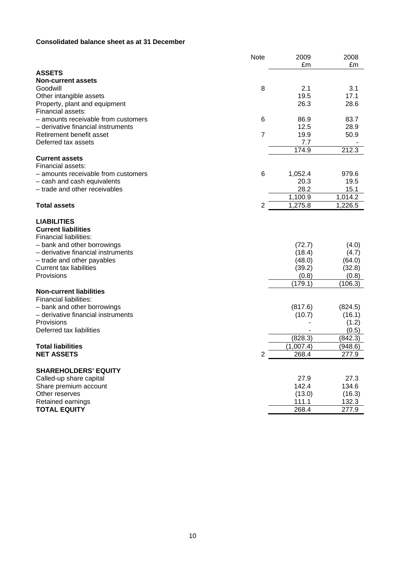# **Consolidated balance sheet as at 31 December**

|                                                      | <b>Note</b>    | 2009            | 2008            |
|------------------------------------------------------|----------------|-----------------|-----------------|
| <b>ASSETS</b>                                        |                | £m              | £m              |
| <b>Non-current assets</b>                            |                |                 |                 |
| Goodwill                                             | 8              | 2.1             | 3.1             |
| Other intangible assets                              |                | 19.5            | 17.1            |
| Property, plant and equipment                        |                | 26.3            | 28.6            |
| Financial assets:                                    |                |                 |                 |
| - amounts receivable from customers                  | 6              | 86.9            | 83.7            |
| - derivative financial instruments                   | $\overline{7}$ | 12.5            | 28.9            |
| Retirement benefit asset<br>Deferred tax assets      |                | 19.9<br>7.7     | 50.9            |
|                                                      |                | 174.9           | 212.3           |
| <b>Current assets</b>                                |                |                 |                 |
| Financial assets:                                    |                |                 |                 |
| - amounts receivable from customers                  | 6              | 1,052.4         | 979.6           |
| - cash and cash equivalents                          |                | 20.3            | 19.5            |
| - trade and other receivables                        |                | 28.2            | 15.1            |
|                                                      |                | 1,100.9         | 1,014.2         |
| <b>Total assets</b>                                  | 2              | 1,275.8         | 1,226.5         |
|                                                      |                |                 |                 |
| <b>LIABILITIES</b>                                   |                |                 |                 |
| <b>Current liabilities</b><br>Financial liabilities: |                |                 |                 |
| - bank and other borrowings                          |                | (72.7)          | (4.0)           |
| - derivative financial instruments                   |                | (18.4)          | (4.7)           |
| - trade and other payables                           |                | (48.0)          | (64.0)          |
| <b>Current tax liabilities</b>                       |                | (39.2)          | (32.8)          |
| Provisions                                           |                | (0.8)           | (0.8)           |
|                                                      |                | (179.1)         | (106.3)         |
| <b>Non-current liabilities</b>                       |                |                 |                 |
| <b>Financial liabilities:</b>                        |                |                 |                 |
| - bank and other borrowings                          |                | (817.6)         | (824.5)         |
| - derivative financial instruments<br>Provisions     |                | (10.7)          | (16.1)<br>(1.2) |
| Deferred tax liabilities                             |                |                 | (0.5)           |
|                                                      |                | (828.3)         | (842.3)         |
| <b>Total liabilities</b>                             |                | (1,007.4)       | (948.6)         |
| <b>NET ASSETS</b>                                    | $\overline{c}$ | 268.4           | 277.9           |
|                                                      |                |                 |                 |
| <b>SHAREHOLDERS' EQUITY</b>                          |                |                 |                 |
| Called-up share capital                              |                | 27.9            | 27.3            |
| Share premium account                                |                | 142.4           | 134.6           |
| Other reserves<br>Retained earnings                  |                | (13.0)<br>111.1 | (16.3)          |
| <b>TOTAL EQUITY</b>                                  |                | 268.4           | 132.3<br>277.9  |
|                                                      |                |                 |                 |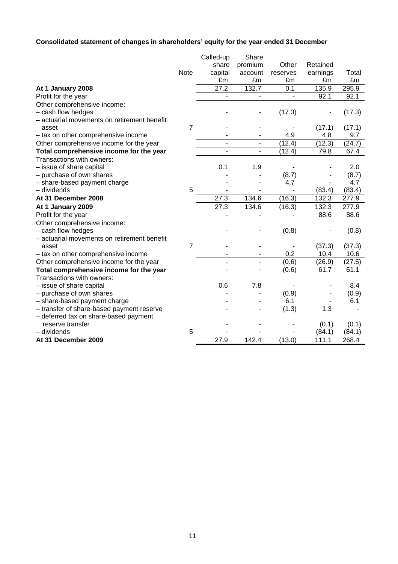# **Consolidated statement of changes in shareholders' equity for the year ended 31 December**

| premium<br>share<br>Other<br>Retained<br>Note<br>capital<br>earnings<br>Total<br>account<br>reserves<br>£m<br>£m<br>£m<br>£m<br>£m<br>27.2<br>132.7<br>295.9<br>0.1<br>135.9<br>At 1 January 2008<br>92.1<br>92.1<br>Profit for the year<br>Other comprehensive income:<br>- cash flow hedges<br>(17.3)<br>(17.3)<br>- actuarial movements on retirement benefit<br>$\overline{7}$<br>(17.1)<br>(17.1)<br>asset<br>4.9<br>4.8<br>9.7<br>- tax on other comprehensive income<br>(12.4)<br>(12.3)<br>(24.7)<br>Other comprehensive income for the year<br>Total comprehensive income for the year<br>(12.4)<br>79.8<br>67.4<br>Transactions with owners:<br>0.1<br>- issue of share capital<br>1.9<br>2.0<br>- purchase of own shares<br>(8.7)<br>(8.7)<br>- share-based payment charge<br>4.7<br>4.7<br>5<br>$-$ dividends<br>(83.4)<br>(83.4)<br>27.3<br>(16.3)<br>At 31 December 2008<br>134.6<br>132.3<br>277.9<br>27.3<br>134.6<br>(16.3)<br>132.3<br>277.9<br>At 1 January 2009<br>88.6<br>Profit for the year<br>88.6<br>$\blacksquare$<br>Other comprehensive income:<br>- cash flow hedges<br>(0.8)<br>(0.8)<br>- actuarial movements on retirement benefit<br>$\overline{7}$<br>(37.3)<br>(37.3)<br>asset<br>- tax on other comprehensive income<br>0.2<br>10.4<br>10.6 |
|---------------------------------------------------------------------------------------------------------------------------------------------------------------------------------------------------------------------------------------------------------------------------------------------------------------------------------------------------------------------------------------------------------------------------------------------------------------------------------------------------------------------------------------------------------------------------------------------------------------------------------------------------------------------------------------------------------------------------------------------------------------------------------------------------------------------------------------------------------------------------------------------------------------------------------------------------------------------------------------------------------------------------------------------------------------------------------------------------------------------------------------------------------------------------------------------------------------------------------------------------------------------------------|
|                                                                                                                                                                                                                                                                                                                                                                                                                                                                                                                                                                                                                                                                                                                                                                                                                                                                                                                                                                                                                                                                                                                                                                                                                                                                                 |
|                                                                                                                                                                                                                                                                                                                                                                                                                                                                                                                                                                                                                                                                                                                                                                                                                                                                                                                                                                                                                                                                                                                                                                                                                                                                                 |
|                                                                                                                                                                                                                                                                                                                                                                                                                                                                                                                                                                                                                                                                                                                                                                                                                                                                                                                                                                                                                                                                                                                                                                                                                                                                                 |
|                                                                                                                                                                                                                                                                                                                                                                                                                                                                                                                                                                                                                                                                                                                                                                                                                                                                                                                                                                                                                                                                                                                                                                                                                                                                                 |
|                                                                                                                                                                                                                                                                                                                                                                                                                                                                                                                                                                                                                                                                                                                                                                                                                                                                                                                                                                                                                                                                                                                                                                                                                                                                                 |
|                                                                                                                                                                                                                                                                                                                                                                                                                                                                                                                                                                                                                                                                                                                                                                                                                                                                                                                                                                                                                                                                                                                                                                                                                                                                                 |
|                                                                                                                                                                                                                                                                                                                                                                                                                                                                                                                                                                                                                                                                                                                                                                                                                                                                                                                                                                                                                                                                                                                                                                                                                                                                                 |
|                                                                                                                                                                                                                                                                                                                                                                                                                                                                                                                                                                                                                                                                                                                                                                                                                                                                                                                                                                                                                                                                                                                                                                                                                                                                                 |
|                                                                                                                                                                                                                                                                                                                                                                                                                                                                                                                                                                                                                                                                                                                                                                                                                                                                                                                                                                                                                                                                                                                                                                                                                                                                                 |
|                                                                                                                                                                                                                                                                                                                                                                                                                                                                                                                                                                                                                                                                                                                                                                                                                                                                                                                                                                                                                                                                                                                                                                                                                                                                                 |
|                                                                                                                                                                                                                                                                                                                                                                                                                                                                                                                                                                                                                                                                                                                                                                                                                                                                                                                                                                                                                                                                                                                                                                                                                                                                                 |
|                                                                                                                                                                                                                                                                                                                                                                                                                                                                                                                                                                                                                                                                                                                                                                                                                                                                                                                                                                                                                                                                                                                                                                                                                                                                                 |
|                                                                                                                                                                                                                                                                                                                                                                                                                                                                                                                                                                                                                                                                                                                                                                                                                                                                                                                                                                                                                                                                                                                                                                                                                                                                                 |
|                                                                                                                                                                                                                                                                                                                                                                                                                                                                                                                                                                                                                                                                                                                                                                                                                                                                                                                                                                                                                                                                                                                                                                                                                                                                                 |
|                                                                                                                                                                                                                                                                                                                                                                                                                                                                                                                                                                                                                                                                                                                                                                                                                                                                                                                                                                                                                                                                                                                                                                                                                                                                                 |
|                                                                                                                                                                                                                                                                                                                                                                                                                                                                                                                                                                                                                                                                                                                                                                                                                                                                                                                                                                                                                                                                                                                                                                                                                                                                                 |
|                                                                                                                                                                                                                                                                                                                                                                                                                                                                                                                                                                                                                                                                                                                                                                                                                                                                                                                                                                                                                                                                                                                                                                                                                                                                                 |
|                                                                                                                                                                                                                                                                                                                                                                                                                                                                                                                                                                                                                                                                                                                                                                                                                                                                                                                                                                                                                                                                                                                                                                                                                                                                                 |
|                                                                                                                                                                                                                                                                                                                                                                                                                                                                                                                                                                                                                                                                                                                                                                                                                                                                                                                                                                                                                                                                                                                                                                                                                                                                                 |
|                                                                                                                                                                                                                                                                                                                                                                                                                                                                                                                                                                                                                                                                                                                                                                                                                                                                                                                                                                                                                                                                                                                                                                                                                                                                                 |
|                                                                                                                                                                                                                                                                                                                                                                                                                                                                                                                                                                                                                                                                                                                                                                                                                                                                                                                                                                                                                                                                                                                                                                                                                                                                                 |
|                                                                                                                                                                                                                                                                                                                                                                                                                                                                                                                                                                                                                                                                                                                                                                                                                                                                                                                                                                                                                                                                                                                                                                                                                                                                                 |
|                                                                                                                                                                                                                                                                                                                                                                                                                                                                                                                                                                                                                                                                                                                                                                                                                                                                                                                                                                                                                                                                                                                                                                                                                                                                                 |
|                                                                                                                                                                                                                                                                                                                                                                                                                                                                                                                                                                                                                                                                                                                                                                                                                                                                                                                                                                                                                                                                                                                                                                                                                                                                                 |
|                                                                                                                                                                                                                                                                                                                                                                                                                                                                                                                                                                                                                                                                                                                                                                                                                                                                                                                                                                                                                                                                                                                                                                                                                                                                                 |
| (0.6)<br>(26.9)<br>(27.5)<br>Other comprehensive income for the year<br>$\overline{\phantom{0}}$                                                                                                                                                                                                                                                                                                                                                                                                                                                                                                                                                                                                                                                                                                                                                                                                                                                                                                                                                                                                                                                                                                                                                                                |
| Total comprehensive income for the year<br>(0.6)<br>61.7<br>61.1                                                                                                                                                                                                                                                                                                                                                                                                                                                                                                                                                                                                                                                                                                                                                                                                                                                                                                                                                                                                                                                                                                                                                                                                                |
| Transactions with owners:                                                                                                                                                                                                                                                                                                                                                                                                                                                                                                                                                                                                                                                                                                                                                                                                                                                                                                                                                                                                                                                                                                                                                                                                                                                       |
| 0.6<br>- issue of share capital<br>7.8<br>8.4                                                                                                                                                                                                                                                                                                                                                                                                                                                                                                                                                                                                                                                                                                                                                                                                                                                                                                                                                                                                                                                                                                                                                                                                                                   |
| - purchase of own shares<br>(0.9)<br>(0.9)                                                                                                                                                                                                                                                                                                                                                                                                                                                                                                                                                                                                                                                                                                                                                                                                                                                                                                                                                                                                                                                                                                                                                                                                                                      |
| 6.1<br>6.1<br>- share-based payment charge                                                                                                                                                                                                                                                                                                                                                                                                                                                                                                                                                                                                                                                                                                                                                                                                                                                                                                                                                                                                                                                                                                                                                                                                                                      |
| (1.3)<br>- transfer of share-based payment reserve<br>1.3                                                                                                                                                                                                                                                                                                                                                                                                                                                                                                                                                                                                                                                                                                                                                                                                                                                                                                                                                                                                                                                                                                                                                                                                                       |
| - deferred tax on share-based payment                                                                                                                                                                                                                                                                                                                                                                                                                                                                                                                                                                                                                                                                                                                                                                                                                                                                                                                                                                                                                                                                                                                                                                                                                                           |
| reserve transfer<br>(0.1)<br>(0.1)                                                                                                                                                                                                                                                                                                                                                                                                                                                                                                                                                                                                                                                                                                                                                                                                                                                                                                                                                                                                                                                                                                                                                                                                                                              |
| 5<br>- dividends<br>(84.1)<br>(84.1)                                                                                                                                                                                                                                                                                                                                                                                                                                                                                                                                                                                                                                                                                                                                                                                                                                                                                                                                                                                                                                                                                                                                                                                                                                            |
| 27.9<br>142.4<br>(13.0)<br>268.4<br>At 31 December 2009<br>111.1                                                                                                                                                                                                                                                                                                                                                                                                                                                                                                                                                                                                                                                                                                                                                                                                                                                                                                                                                                                                                                                                                                                                                                                                                |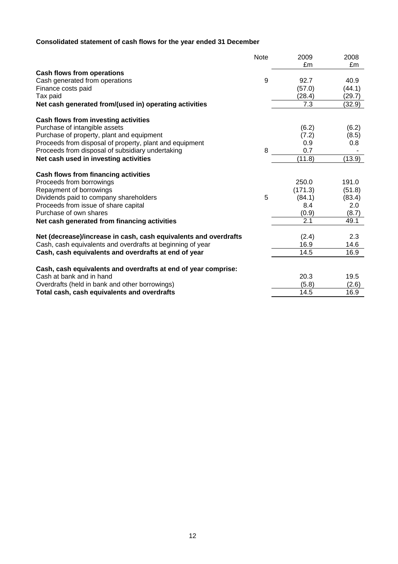# **Consolidated statement of cash flows for the year ended 31 December**

|                                                                  | <b>Note</b> | 2009    | 2008   |
|------------------------------------------------------------------|-------------|---------|--------|
|                                                                  |             | £m      | £m     |
| <b>Cash flows from operations</b>                                |             |         |        |
| Cash generated from operations                                   | 9           | 92.7    | 40.9   |
| Finance costs paid                                               |             | (57.0)  | (44.1) |
| Tax paid                                                         |             | (28.4)  | (29.7) |
| Net cash generated from/(used in) operating activities           |             | 7.3     | (32.9) |
| Cash flows from investing activities                             |             |         |        |
| Purchase of intangible assets                                    |             | (6.2)   | (6.2)  |
| Purchase of property, plant and equipment                        |             | (7.2)   | (8.5)  |
| Proceeds from disposal of property, plant and equipment          |             | 0.9     | 0.8    |
| Proceeds from disposal of subsidiary undertaking                 | 8           | 0.7     |        |
| Net cash used in investing activities                            |             | (11.8)  | (13.9) |
| Cash flows from financing activities                             |             |         |        |
| Proceeds from borrowings                                         |             | 250.0   | 191.0  |
| Repayment of borrowings                                          |             | (171.3) | (51.8) |
| Dividends paid to company shareholders                           | 5           | (84.1)  | (83.4) |
| Proceeds from issue of share capital                             |             | 8.4     | 2.0    |
| Purchase of own shares                                           |             | (0.9)   | (8.7)  |
| Net cash generated from financing activities                     |             | 2.1     | 49.1   |
|                                                                  |             |         |        |
| Net (decrease)/increase in cash, cash equivalents and overdrafts |             | (2.4)   | 2.3    |
| Cash, cash equivalents and overdrafts at beginning of year       |             | 16.9    | 14.6   |
| Cash, cash equivalents and overdrafts at end of year             |             | 14.5    | 16.9   |
| Cash, cash equivalents and overdrafts at end of year comprise:   |             |         |        |
| Cash at bank and in hand                                         |             | 20.3    | 19.5   |
| Overdrafts (held in bank and other borrowings)                   |             | (5.8)   | (2.6)  |
| Total cash, cash equivalents and overdrafts                      |             | 14.5    | 16.9   |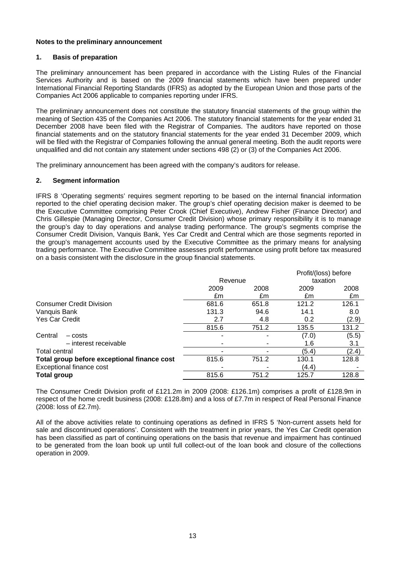#### **Notes to the preliminary announcement**

#### **1. Basis of preparation**

The preliminary announcement has been prepared in accordance with the Listing Rules of the Financial Services Authority and is based on the 2009 financial statements which have been prepared under International Financial Reporting Standards (IFRS) as adopted by the European Union and those parts of the Companies Act 2006 applicable to companies reporting under IFRS.

The preliminary announcement does not constitute the statutory financial statements of the group within the meaning of Section 435 of the Companies Act 2006. The statutory financial statements for the year ended 31 December 2008 have been filed with the Registrar of Companies. The auditors have reported on those financial statements and on the statutory financial statements for the year ended 31 December 2009, which will be filed with the Registrar of Companies following the annual general meeting. Both the audit reports were unqualified and did not contain any statement under sections 498 (2) or (3) of the Companies Act 2006.

The preliminary announcement has been agreed with the company's auditors for release.

# **2. Segment information**

IFRS 8 'Operating segments' requires segment reporting to be based on the internal financial information reported to the chief operating decision maker. The group's chief operating decision maker is deemed to be the Executive Committee comprising Peter Crook (Chief Executive), Andrew Fisher (Finance Director) and Chris Gillespie (Managing Director, Consumer Credit Division) whose primary responsibility it is to manage the group's day to day operations and analyse trading performance. The group's segments comprise the Consumer Credit Division, Vanquis Bank, Yes Car Credit and Central which are those segments reported in the group's management accounts used by the Executive Committee as the primary means for analysing trading performance. The Executive Committee assesses profit performance using profit before tax measured on a basis consistent with the disclosure in the group financial statements.

|                                             |         |       | Profit/(loss) before |       |
|---------------------------------------------|---------|-------|----------------------|-------|
|                                             | Revenue |       | taxation             |       |
|                                             | 2009    | 2008  | 2009                 | 2008  |
|                                             | £m      | £m    | £m                   | £m    |
| <b>Consumer Credit Division</b>             | 681.6   | 651.8 | 121.2                | 126.1 |
| Vanquis Bank                                | 131.3   | 94.6  | 14.1                 | 8.0   |
| <b>Yes Car Credit</b>                       | 2.7     | 4.8   | 0.2                  | (2.9) |
|                                             | 815.6   | 751.2 | 135.5                | 131.2 |
| Central<br>- costs                          | -       |       | (7.0)                | (5.5) |
| - interest receivable                       | ٠       |       | 1.6                  | 3.1   |
| Total central                               |         |       | (5.4)                | (2.4) |
| Total group before exceptional finance cost | 815.6   | 751.2 | 130.1                | 128.8 |
| Exceptional finance cost                    |         |       | (4.4)                |       |
| <b>Total group</b>                          | 815.6   | 751.2 | 125.7                | 128.8 |
|                                             |         |       |                      |       |

The Consumer Credit Division profit of £121.2m in 2009 (2008: £126.1m) comprises a profit of £128.9m in respect of the home credit business (2008: £128.8m) and a loss of £7.7m in respect of Real Personal Finance (2008: loss of £2.7m).

All of the above activities relate to continuing operations as defined in IFRS 5 'Non-current assets held for sale and discontinued operations'. Consistent with the treatment in prior years, the Yes Car Credit operation has been classified as part of continuing operations on the basis that revenue and impairment has continued to be generated from the loan book up until full collect-out of the loan book and closure of the collections operation in 2009.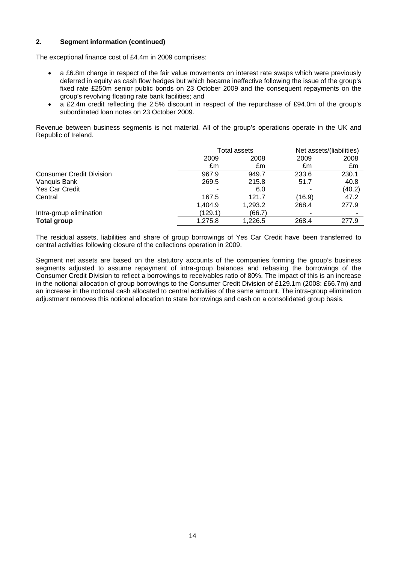### **2. Segment information (continued)**

The exceptional finance cost of £4.4m in 2009 comprises:

- a £6.8m charge in respect of the fair value movements on interest rate swaps which were previously deferred in equity as cash flow hedges but which became ineffective following the issue of the group's fixed rate £250m senior public bonds on 23 October 2009 and the consequent repayments on the group's revolving floating rate bank facilities; and
- a £2.4m credit reflecting the 2.5% discount in respect of the repurchase of £94.0m of the group's subordinated loan notes on 23 October 2009.

Revenue between business segments is not material. All of the group's operations operate in the UK and Republic of Ireland.

|                                 |         | Total assets |        | Net assets/(liabilities) |
|---------------------------------|---------|--------------|--------|--------------------------|
|                                 | 2009    | 2008         | 2009   | 2008                     |
|                                 | £m      | £m           | £m     | £m                       |
| <b>Consumer Credit Division</b> | 967.9   | 949.7        | 233.6  | 230.1                    |
| Vanquis Bank                    | 269.5   | 215.8        | 51.7   | 40.8                     |
| <b>Yes Car Credit</b>           |         | 6.0          |        | (40.2)                   |
| Central                         | 167.5   | 121.7        | (16.9) | 47.2                     |
|                                 | 1,404.9 | 1,293.2      | 268.4  | 277.9                    |
| Intra-group elimination         | (129.1) | (66.7)       |        |                          |
| <b>Total group</b>              | 1,275.8 | 1,226.5      | 268.4  | 277.9                    |

The residual assets, liabilities and share of group borrowings of Yes Car Credit have been transferred to central activities following closure of the collections operation in 2009.

Segment net assets are based on the statutory accounts of the companies forming the group's business segments adjusted to assume repayment of intra-group balances and rebasing the borrowings of the Consumer Credit Division to reflect a borrowings to receivables ratio of 80%. The impact of this is an increase in the notional allocation of group borrowings to the Consumer Credit Division of £129.1m (2008: £66.7m) and an increase in the notional cash allocated to central activities of the same amount. The intra-group elimination adjustment removes this notional allocation to state borrowings and cash on a consolidated group basis.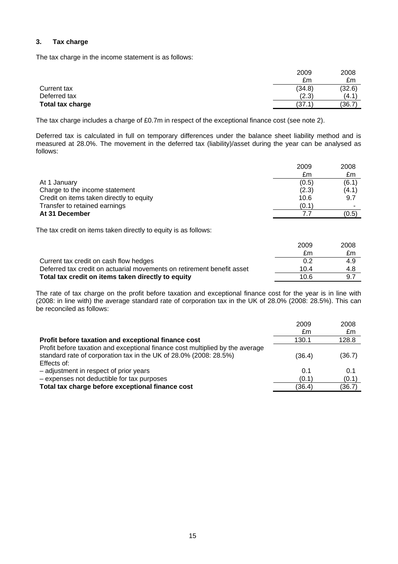# **3. Tax charge**

The tax charge in the income statement is as follows:

|                  | 2009   | 2008   |
|------------------|--------|--------|
|                  | £m     | £m     |
| Current tax      | (34.8) | (32.6) |
| Deferred tax     | (2.3)  | (4.1)  |
| Total tax charge | (37.1) | (36.7) |

The tax charge includes a charge of £0.7m in respect of the exceptional finance cost (see note 2).

Deferred tax is calculated in full on temporary differences under the balance sheet liability method and is measured at 28.0%. The movement in the deferred tax (liability)/asset during the year can be analysed as follows:

|                                          | 2009  | 2008  |
|------------------------------------------|-------|-------|
|                                          | £m    | £m    |
| At 1 January                             | (0.5) | (6.1) |
| Charge to the income statement           | (2.3) | (4.1) |
| Credit on items taken directly to equity | 10.6  | 9.7   |
| Transfer to retained earnings            | (0.1) | -     |
| At 31 December                           |       | (0.5) |

The tax credit on items taken directly to equity is as follows:

|                                                                        | 2009 | 2008 |
|------------------------------------------------------------------------|------|------|
|                                                                        | £m   | £m   |
| Current tax credit on cash flow hedges                                 | 0.2  | 4.9  |
| Deferred tax credit on actuarial movements on retirement benefit asset | 10.4 | 4.8  |
| Total tax credit on items taken directly to equity                     | 10.6 | 97   |

The rate of tax charge on the profit before taxation and exceptional finance cost for the year is in line with (2008: in line with) the average standard rate of corporation tax in the UK of 28.0% (2008: 28.5%). This can be reconciled as follows:

|                                                                                                                                                                   | 2009<br>£m | 2008<br>£m |
|-------------------------------------------------------------------------------------------------------------------------------------------------------------------|------------|------------|
| Profit before taxation and exceptional finance cost                                                                                                               | 130.1      | 128.8      |
| Profit before taxation and exceptional finance cost multiplied by the average<br>standard rate of corporation tax in the UK of 28.0% (2008: 28.5%)<br>Effects of: | (36.4)     | (36.7)     |
| - adjustment in respect of prior years                                                                                                                            | 0.1        | 0.1        |
| - expenses not deductible for tax purposes                                                                                                                        | (0.1)      | (0.1)      |
| Total tax charge before exceptional finance cost                                                                                                                  | (36.4)     | (36.7)     |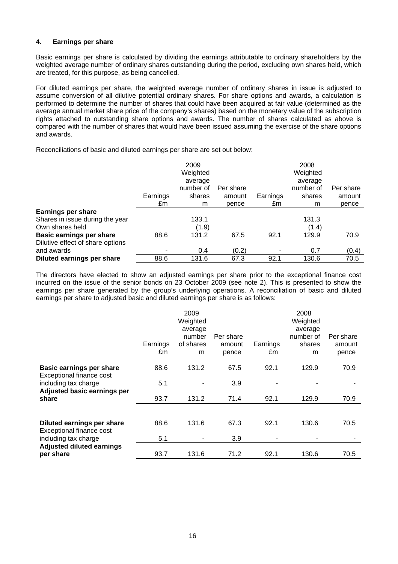#### **4. Earnings per share**

Basic earnings per share is calculated by dividing the earnings attributable to ordinary shareholders by the weighted average number of ordinary shares outstanding during the period, excluding own shares held, which are treated, for this purpose, as being cancelled.

For diluted earnings per share, the weighted average number of ordinary shares in issue is adjusted to assume conversion of all dilutive potential ordinary shares. For share options and awards, a calculation is performed to determine the number of shares that could have been acquired at fair value (determined as the average annual market share price of the company's shares) based on the monetary value of the subscription rights attached to outstanding share options and awards. The number of shares calculated as above is compared with the number of shares that would have been issued assuming the exercise of the share options and awards.

Reconciliations of basic and diluted earnings per share are set out below:

|                                  |          | 2009<br>Weighted<br>average |           |          | 2008<br>Weighted<br>average |           |
|----------------------------------|----------|-----------------------------|-----------|----------|-----------------------------|-----------|
|                                  |          | number of                   | Per share |          | number of                   | Per share |
|                                  | Earnings | shares                      | amount    | Earnings | shares                      | amount    |
|                                  | £m       | m                           | pence     | £m       | m                           | pence     |
| <b>Earnings per share</b>        |          |                             |           |          |                             |           |
| Shares in issue during the year  |          | 133.1                       |           |          | 131.3                       |           |
| Own shares held                  |          | (1.9)                       |           |          | (1.4)                       |           |
| <b>Basic earnings per share</b>  | 88.6     | 131.2                       | 67.5      | 92.1     | 129.9                       | 70.9      |
| Dilutive effect of share options |          |                             |           |          |                             |           |
| and awards                       |          | 0.4                         | (0.2)     |          | 0.7                         | (0.4)     |
| Diluted earnings per share       | 88.6     | 131.6                       | 67.3      | 92.1     | 130.6                       | 70.5      |

The directors have elected to show an adjusted earnings per share prior to the exceptional finance cost incurred on the issue of the senior bonds on 23 October 2009 (see note 2). This is presented to show the earnings per share generated by the group's underlying operations. A reconciliation of basic and diluted earnings per share to adjusted basic and diluted earnings per share is as follows:

|                                                                                     | Earnings<br>£m | 2009<br>Weighted<br>average<br>number<br>of shares<br>m | Per share<br>amount<br>pence | Earnings<br>£m | 2008<br>Weighted<br>average<br>number of<br>shares<br>m | Per share<br>amount<br>pence |
|-------------------------------------------------------------------------------------|----------------|---------------------------------------------------------|------------------------------|----------------|---------------------------------------------------------|------------------------------|
| <b>Basic earnings per share</b><br>Exceptional finance cost<br>including tax charge | 88.6<br>5.1    | 131.2                                                   | 67.5<br>3.9                  | 92.1           | 129.9                                                   | 70.9                         |
| Adjusted basic earnings per<br>share                                                | 93.7           | 131.2                                                   | 71.4                         | 92.1           | 129.9                                                   | 70.9                         |
| Diluted earnings per share<br>Exceptional finance cost<br>including tax charge      | 88.6<br>5.1    | 131.6                                                   | 67.3<br>3.9                  | 92.1           | 130.6                                                   | 70.5                         |
| <b>Adjusted diluted earnings</b><br>per share                                       | 93.7           | 131.6                                                   | 71.2                         | 92.1           | 130.6                                                   | 70.5                         |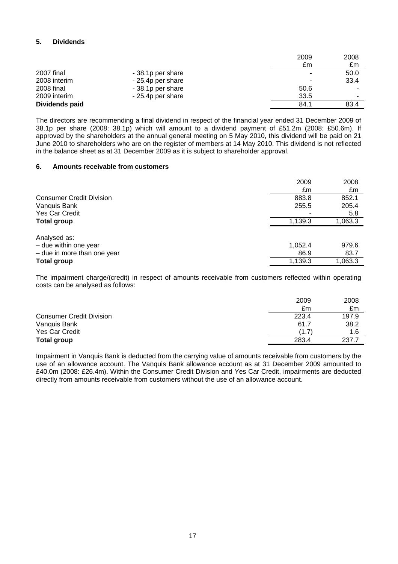# **5. Dividends**

|                |                   | 2009 | 2008                     |
|----------------|-------------------|------|--------------------------|
|                |                   | £m   | £m                       |
| 2007 final     | - 38.1p per share | -    | 50.0                     |
| 2008 interim   | - 25.4p per share |      | 33.4                     |
| 2008 final     | - 38.1p per share | 50.6 |                          |
| 2009 interim   | - 25.4p per share | 33.5 | $\overline{\phantom{a}}$ |
| Dividends paid |                   | 84.1 | 83.4                     |

The directors are recommending a final dividend in respect of the financial year ended 31 December 2009 of 38.1p per share (2008: 38.1p) which will amount to a dividend payment of £51.2m (2008: £50.6m). If approved by the shareholders at the annual general meeting on 5 May 2010, this dividend will be paid on 21 June 2010 to shareholders who are on the register of members at 14 May 2010. This dividend is not reflected in the balance sheet as at 31 December 2009 as it is subject to shareholder approval.

#### **6. Amounts receivable from customers**

|                                                                        | 2009<br>£m      | 2008<br>£m    |
|------------------------------------------------------------------------|-----------------|---------------|
| <b>Consumer Credit Division</b>                                        | 883.8           | 852.1         |
| Vanquis Bank                                                           | 255.5           | 205.4         |
| <b>Yes Car Credit</b>                                                  | ۰               | 5.8           |
| <b>Total group</b>                                                     | 1,139.3         | 1,063.3       |
| Analysed as:<br>- due within one year<br>$-$ due in more than one year | 1,052.4<br>86.9 | 979.6<br>83.7 |
| <b>Total group</b>                                                     | 1,139.3         | 1,063.3       |

The impairment charge/(credit) in respect of amounts receivable from customers reflected within operating costs can be analysed as follows:

|                                 | 2009  | 2008  |
|---------------------------------|-------|-------|
|                                 | £m    | £m    |
| <b>Consumer Credit Division</b> | 223.4 | 197.9 |
| Vanquis Bank                    | 61.7  | 38.2  |
| Yes Car Credit                  | (1.7) | 1.6   |
| <b>Total group</b>              | 283.4 | 237.7 |

Impairment in Vanquis Bank is deducted from the carrying value of amounts receivable from customers by the use of an allowance account. The Vanquis Bank allowance account as at 31 December 2009 amounted to £40.0m (2008: £26.4m). Within the Consumer Credit Division and Yes Car Credit, impairments are deducted directly from amounts receivable from customers without the use of an allowance account.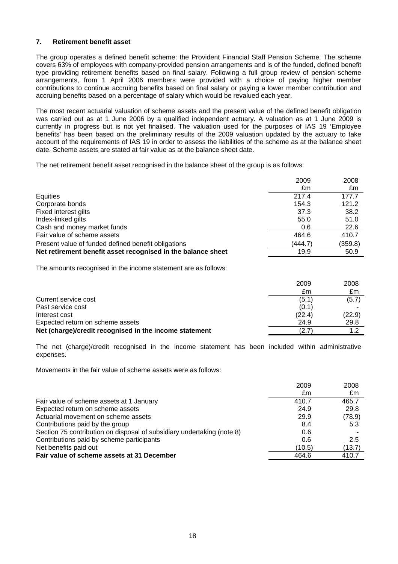### **7. Retirement benefit asset**

The group operates a defined benefit scheme: the Provident Financial Staff Pension Scheme. The scheme covers 63% of employees with company-provided pension arrangements and is of the funded, defined benefit type providing retirement benefits based on final salary. Following a full group review of pension scheme arrangements, from 1 April 2006 members were provided with a choice of paying higher member contributions to continue accruing benefits based on final salary or paying a lower member contribution and accruing benefits based on a percentage of salary which would be revalued each year.

The most recent actuarial valuation of scheme assets and the present value of the defined benefit obligation was carried out as at 1 June 2006 by a qualified independent actuary. A valuation as at 1 June 2009 is currently in progress but is not yet finalised. The valuation used for the purposes of IAS 19 'Employee benefits' has been based on the preliminary results of the 2009 valuation updated by the actuary to take account of the requirements of IAS 19 in order to assess the liabilities of the scheme as at the balance sheet date. Scheme assets are stated at fair value as at the balance sheet date.

The net retirement benefit asset recognised in the balance sheet of the group is as follows:

|                                                              | 2009    | 2008    |
|--------------------------------------------------------------|---------|---------|
|                                                              | £m      | £m      |
| Equities                                                     | 217.4   | 177.7   |
| Corporate bonds                                              | 154.3   | 121.2   |
| Fixed interest gilts                                         | 37.3    | 38.2    |
| Index-linked gilts                                           | 55.0    | 51.0    |
| Cash and money market funds                                  | 0.6     | 22.6    |
| Fair value of scheme assets                                  | 464.6   | 410.7   |
| Present value of funded defined benefit obligations          | (444.7) | (359.8) |
| Net retirement benefit asset recognised in the balance sheet | 19.9    | 50.9    |

The amounts recognised in the income statement are as follows:

| 2009   | 2008   |
|--------|--------|
| £m     | £m     |
| (5.1)  | (5.7)  |
| (0.1)  |        |
| (22.4) | (22.9) |
| 24.9   | 29.8   |
| (2.7)  | 1.2    |
|        |        |

The net (charge)/credit recognised in the income statement has been included within administrative expenses.

Movements in the fair value of scheme assets were as follows:

| £m                                                                            | £m     |
|-------------------------------------------------------------------------------|--------|
|                                                                               |        |
| 410.7<br>465.7<br>Fair value of scheme assets at 1 January                    |        |
| Expected return on scheme assets<br>24.9<br>29.8                              |        |
| Actuarial movement on scheme assets<br>(78.9)<br>29.9                         |        |
| Contributions paid by the group<br>8.4                                        | 5.3    |
| Section 75 contribution on disposal of subsidiary undertaking (note 8)<br>0.6 |        |
| Contributions paid by scheme participants<br>0.6                              | 2.5    |
| Net benefits paid out<br>(10.5)                                               | (13.7) |
| Fair value of scheme assets at 31 December<br>464.6<br>410.7                  |        |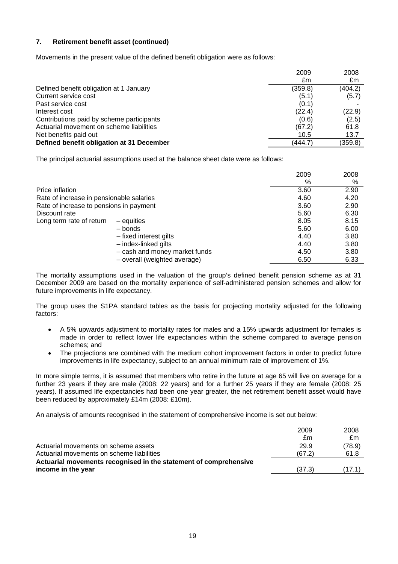# **7. Retirement benefit asset (continued)**

Movements in the present value of the defined benefit obligation were as follows:

|                                           | 2009    | 2008    |
|-------------------------------------------|---------|---------|
|                                           | £m      | £m      |
| Defined benefit obligation at 1 January   | (359.8) | (404.2) |
| Current service cost                      | (5.1)   | (5.7)   |
| Past service cost                         | (0.1)   |         |
| Interest cost                             | (22.4)  | (22.9)  |
| Contributions paid by scheme participants | (0.6)   | (2.5)   |
| Actuarial movement on scheme liabilities  | (67.2)  | 61.8    |
| Net benefits paid out                     | 10.5    | 13.7    |
| Defined benefit obligation at 31 December | (444.7) | (359.8) |

The principal actuarial assumptions used at the balance sheet date were as follows:

|                                          |                               | 2009 | 2008 |
|------------------------------------------|-------------------------------|------|------|
|                                          |                               | %    | %    |
| Price inflation                          |                               | 3.60 | 2.90 |
| Rate of increase in pensionable salaries |                               | 4.60 | 4.20 |
| Rate of increase to pensions in payment  |                               | 3.60 | 2.90 |
| Discount rate                            |                               | 5.60 | 6.30 |
| Long term rate of return                 | - equities                    | 8.05 | 8.15 |
|                                          | – bonds                       | 5.60 | 6.00 |
|                                          | - fixed interest gilts        | 4.40 | 3.80 |
|                                          | - index-linked gilts          | 4.40 | 3.80 |
|                                          | - cash and money market funds | 4.50 | 3.80 |
|                                          | - overall (weighted average)  | 6.50 | 6.33 |

The mortality assumptions used in the valuation of the group's defined benefit pension scheme as at 31 December 2009 are based on the mortality experience of self-administered pension schemes and allow for future improvements in life expectancy.

The group uses the S1PA standard tables as the basis for projecting mortality adjusted for the following factors:

- A 5% upwards adjustment to mortality rates for males and a 15% upwards adjustment for females is made in order to reflect lower life expectancies within the scheme compared to average pension schemes; and
- The projections are combined with the medium cohort improvement factors in order to predict future improvements in life expectancy, subject to an annual minimum rate of improvement of 1%.

In more simple terms, it is assumed that members who retire in the future at age 65 will live on average for a further 23 years if they are male (2008: 22 years) and for a further 25 years if they are female (2008: 25 years). If assumed life expectancies had been one year greater, the net retirement benefit asset would have been reduced by approximately £14m (2008: £10m).

An analysis of amounts recognised in the statement of comprehensive income is set out below:

|                                                                  | 2009   | 2008   |
|------------------------------------------------------------------|--------|--------|
|                                                                  | £m     | £m     |
| Actuarial movements on scheme assets                             | 29.9   | (78.9) |
| Actuarial movements on scheme liabilities                        | (67.2) | 61.8   |
| Actuarial movements recognised in the statement of comprehensive |        |        |
| income in the year                                               | (37.3) | (17.1) |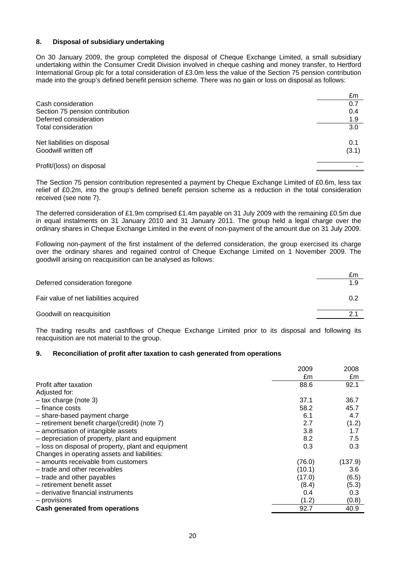### **8. Disposal of subsidiary undertaking**

On 30 January 2009, the group completed the disposal of Cheque Exchange Limited, a small subsidiary undertaking within the Consumer Credit Division involved in cheque cashing and money transfer, to Hertford International Group plc for a total consideration of £3.0m less the value of the Section 75 pension contribution made into the group's defined benefit pension scheme. There was no gain or loss on disposal as follows:

|                                 | £m    |
|---------------------------------|-------|
| Cash consideration              | 0.7   |
| Section 75 pension contribution | 0.4   |
| Deferred consideration          | 1.9   |
| Total consideration             | 3.0   |
| Net liabilities on disposal     | 0.1   |
| Goodwill written off            | (3.1) |
| Profit/(loss) on disposal       |       |

The Section 75 pension contribution represented a payment by Cheque Exchange Limited of £0.6m, less tax relief of £0.2m, into the group's defined benefit pension scheme as a reduction in the total consideration received (see note 7).

The deferred consideration of £1.9m comprised £1.4m payable on 31 July 2009 with the remaining £0.5m due in equal instalments on 31 January 2010 and 31 January 2011. The group held a legal charge over the ordinary shares in Cheque Exchange Limited in the event of non-payment of the amount due on 31 July 2009.

Following non-payment of the first instalment of the deferred consideration, the group exercised its charge over the ordinary shares and regained control of Cheque Exchange Limited on 1 November 2009. The goodwill arising on reacquisition can be analysed as follows:

|                                        | £m  |
|----------------------------------------|-----|
| Deferred consideration foregone        | 1.9 |
| Fair value of net liabilities acquired | 0.2 |
| Goodwill on reacquisition              | 2.1 |

The trading results and cashflows of Cheque Exchange Limited prior to its disposal and following its reacquisition are not material to the group.

#### **9. Reconciliation of profit after taxation to cash generated from operations**

|                                                     | 2009   | 2008    |
|-----------------------------------------------------|--------|---------|
|                                                     | £m     | £m      |
| Profit after taxation                               | 88.6   | 92.1    |
| Adjusted for:                                       |        |         |
| $-$ tax charge (note 3)                             | 37.1   | 36.7    |
| $-$ finance costs                                   | 58.2   | 45.7    |
| - share-based payment charge                        | 6.1    | 4.7     |
| - retirement benefit charge/(credit) (note 7)       | 2.7    | (1.2)   |
| - amortisation of intangible assets                 | 3.8    | 1.7     |
| - depreciation of property, plant and equipment     | 8.2    | 7.5     |
| - loss on disposal of property, plant and equipment | 0.3    | 0.3     |
| Changes in operating assets and liabilities:        |        |         |
| - amounts receivable from customers                 | (76.0) | (137.9) |
| - trade and other receivables                       | (10.1) | 3.6     |
| - trade and other payables                          | (17.0) | (6.5)   |
| - retirement benefit asset                          | (8.4)  | (5.3)   |
| - derivative financial instruments                  | 0.4    | 0.3     |
| - provisions                                        | (1.2)  | (0.8)   |
| Cash generated from operations                      | 92.7   | 40.9    |